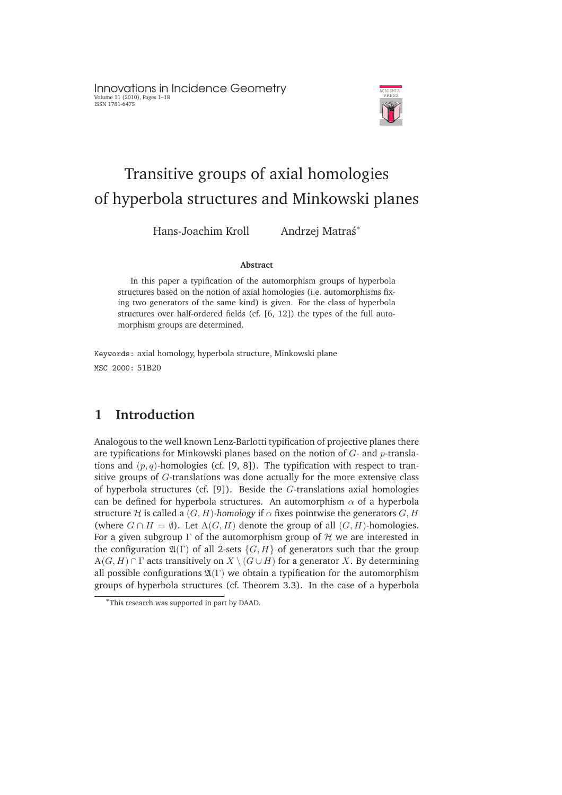Innovations in Incidence Geometry Volume 11 (2010), Pages 1–18 ISSN 1781-6475



# Transitive groups of axial homologies of hyperbola structures and Minkowski planes

Hans-Joachim Kroll Andrzej Matraś\*

#### **Abstract**

In this paper a typification of the automorphism groups of hyperbola structures based on the notion of axial homologies (i.e. automorphisms fixing two generators of the same kind) is given. For the class of hyperbola structures over half-ordered fields (cf. [6, 12]) the types of the full automorphism groups are determined.

Keywords: axial homology, hyperbola structure, Minkowski plane MSC 2000: 51B20

### **1 Introduction**

Analogous to the well known Lenz-Barlotti typification of projective planes there are typifications for Minkowski planes based on the notion of  $G$ - and  $p$ -translations and  $(p, q)$ -homologies (cf. [9, 8]). The typification with respect to transitive groups of G-translations was done actually for the more extensive class of hyperbola structures (cf. [9]). Beside the G-translations axial homologies can be defined for hyperbola structures. An automorphism  $\alpha$  of a hyperbola structure H is called a  $(G, H)$ -homology if  $\alpha$  fixes pointwise the generators G, H (where  $G \cap H = \emptyset$ ). Let  $A(G, H)$  denote the group of all  $(G, H)$ -homologies. For a given subgroup  $\Gamma$  of the automorphism group of H we are interested in the configuration  $\mathfrak{A}(\Gamma)$  of all 2-sets  $\{G, H\}$  of generators such that the group  $A(G, H) \cap \Gamma$  acts transitively on  $X \setminus (G \cup H)$  for a generator X. By determining all possible configurations  $\mathfrak{A}(\Gamma)$  we obtain a typification for the automorphism groups of hyperbola structures (cf. Theorem 3.3). In the case of a hyperbola

<sup>∗</sup>This research was supported in part by DAAD.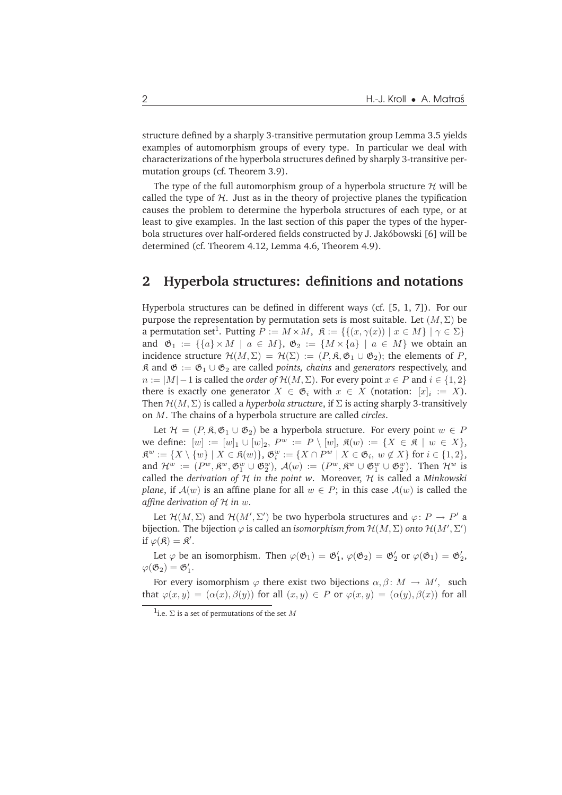structure defined by a sharply 3-transitive permutation group Lemma 3.5 yields examples of automorphism groups of every type. In particular we deal with characterizations of the hyperbola structures defined by sharply 3-transitive permutation groups (cf. Theorem 3.9).

The type of the full automorphism group of a hyperbola structure  $H$  will be called the type of  $H$ . Just as in the theory of projective planes the typification causes the problem to determine the hyperbola structures of each type, or at least to give examples. In the last section of this paper the types of the hyperbola structures over half-ordered fields constructed by J. Jakóbowski [6] will be determined (cf. Theorem 4.12, Lemma 4.6, Theorem 4.9).

#### **2 Hyperbola structures: definitions and notations**

Hyperbola structures can be defined in different ways (cf. [5, 1, 7]). For our purpose the representation by permutation sets is most suitable. Let  $(M, \Sigma)$  be a permutation set<sup>1</sup>. Putting  $P := M \times M$ ,  $\mathfrak{K} := \{ \{ (x, \gamma(x)) \mid x \in M \} \mid \gamma \in \Sigma \}$ and  $\mathfrak{G}_1 := \{ \{a\} \times M \mid a \in M \}$ ,  $\mathfrak{G}_2 := \{ M \times \{a\} \mid a \in M \}$  we obtain an incidence structure  $\mathcal{H}(M,\Sigma) = \mathcal{H}(\Sigma) := (P,\mathfrak{K},\mathfrak{G}_1 \cup \mathfrak{G}_2)$ ; the elements of P,  $\hat{\mathcal{R}}$  and  $\mathfrak{G} := \mathfrak{G}_1 \cup \mathfrak{G}_2$  are called *points, chains* and *generators* respectively, and  $n := |M| - 1$  is called the *order of*  $\mathcal{H}(M, \Sigma)$ . For every point  $x \in P$  and  $i \in \{1, 2\}$ there is exactly one generator  $X \in \mathfrak{G}_i$  with  $x \in X$  (notation:  $[x]_i := X$ ). Then  $\mathcal{H}(M, \Sigma)$  is called a *hyperbola structure*, if  $\Sigma$  is acting sharply 3-transitively on M. The chains of a hyperbola structure are called *circles*.

Let  $\mathcal{H} = (P, \mathfrak{K}, \mathfrak{G}_1 \cup \mathfrak{G}_2)$  be a hyperbola structure. For every point  $w \in P$ we define:  $[w] := [w]_1 \cup [w]_2$ ,  $P^w := P \setminus [w]$ ,  $\mathfrak{K}(w) := \{X \in \mathfrak{K} \mid w \in X\}$ ,  $\mathfrak{K}^w:=\{X\setminus\{w\}\mid X\in\mathfrak{K}(w)\},\ \mathfrak{G}_i^w:=\{X\cap P^w\mid X\in\mathfrak{G}_i,\ w\not\in X\}$  for  $i\in\{1,2\},$ and  $\mathcal{H}^w := (P^w, \mathfrak{K}^w, \mathfrak{G}_1^w \cup \mathfrak{G}_2^w), \mathcal{A}(w) := (P^w, \mathfrak{K}^w \cup \mathfrak{G}_1^w \cup \mathfrak{G}_2^w).$  Then  $\mathcal{H}^w$  is called the *derivation of* H *in the point w*. Moreover, H is called a *Minkowski plane*, if  $A(w)$  is an affine plane for all  $w \in P$ ; in this case  $A(w)$  is called the *affine derivation of* H *in* w.

Let  $\mathcal{H}(M,\Sigma)$  and  $\mathcal{H}(M',\Sigma')$  be two hyperbola structures and  $\varphi\colon P\to P'$  a bijection. The bijection  $\varphi$  is called an *isomorphism from*  $\mathcal{H}(M,\Sigma)$  *onto*  $\mathcal{H}(M',\Sigma')$ if  $\varphi(\mathfrak{K}) = \mathfrak{K}'.$ 

Let  $\varphi$  be an isomorphism. Then  $\varphi(\mathfrak{G}_1) = \mathfrak{G}'_1$ ,  $\varphi(\mathfrak{G}_2) = \mathfrak{G}'_2$  or  $\varphi(\mathfrak{G}_1) = \mathfrak{G}'_2$ ,  $\varphi(\mathfrak{G}_2)=\mathfrak{G}_1'.$ 

For every isomorphism  $\varphi$  there exist two bijections  $\alpha, \beta \colon M \to M'$ , such that  $\varphi(x,y) = (\alpha(x), \beta(y))$  for all  $(x,y) \in P$  or  $\varphi(x,y) = (\alpha(y), \beta(x))$  for all

<sup>&</sup>lt;sup>1</sup>i.e.  $\Sigma$  is a set of permutations of the set M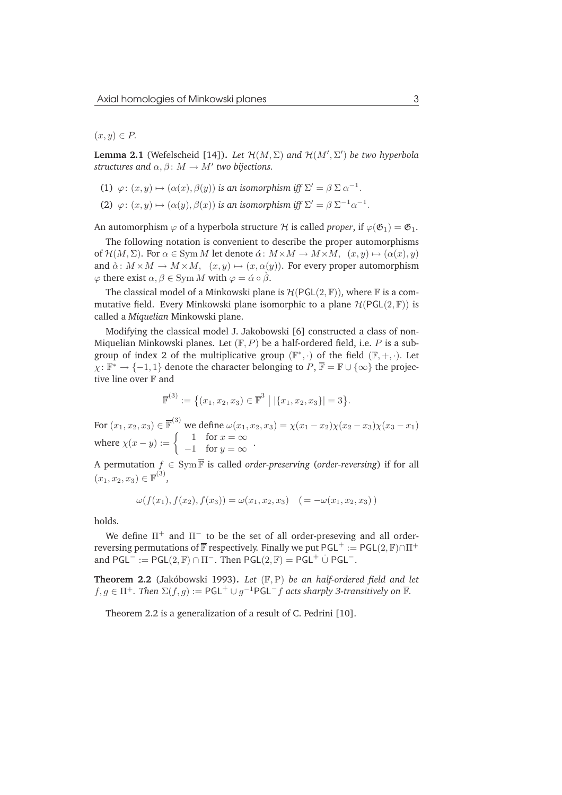$(x,y) \in P$ .

**Lemma 2.1** (Wefelscheid [14]). Let  $\mathcal{H}(M, \Sigma)$  and  $\mathcal{H}(M', \Sigma')$  be two hyperbola *structures and*  $\alpha, \beta \colon M \to M'$  *two bijections.* 

- (1)  $\varphi: (x, y) \mapsto (\alpha(x), \beta(y))$  *is an isomorphism iff*  $\Sigma' = \beta \Sigma \alpha^{-1}$ .
- (2)  $\varphi: (x, y) \mapsto (\alpha(y), \beta(x))$  *is an isomorphism iff*  $\Sigma' = \beta \Sigma^{-1} \alpha^{-1}$ .

An automorphism  $\varphi$  of a hyperbola structure H is called *proper*, if  $\varphi(\mathfrak{G}_1) = \mathfrak{G}_1$ .

The following notation is convenient to describe the proper automorphisms of  $\mathcal{H}(M, \Sigma)$ . For  $\alpha \in \text{Sym } M$  let denote  $\alpha \colon M \times M \to M \times M$ ,  $(x, y) \mapsto (\alpha(x), y)$ and  $\alpha \colon M \times M \to M \times M$ ,  $(x, y) \mapsto (x, \alpha(y))$ . For every proper automorphism  $\varphi$  there exist  $\alpha, \beta \in \text{Sym } M$  with  $\varphi = \alpha \circ \beta$ .

The classical model of a Minkowski plane is  $\mathcal{H}(\mathsf{PGL}(2,\mathbb{F}))$ , where  $\mathbb F$  is a commutative field. Every Minkowski plane isomorphic to a plane  $\mathcal{H}(\mathsf{PGL}(2,\mathbb{F}))$  is called a *Miquelian* Minkowski plane.

Modifying the classical model J. Jakobowski [6] constructed a class of non-Miquelian Minkowski planes. Let  $(F, P)$  be a half-ordered field, i.e. P is a subgroup of index 2 of the multiplicative group  $(\mathbb{F}^*, \cdot)$  of the field  $(\mathbb{F}, +, \cdot)$ . Let  $\chi: \mathbb{F}^* \to \{-1,1\}$  denote the character belonging to  $P, \overline{\mathbb{F}} = \mathbb{F} \cup \{\infty\}$  the projective line over F and

$$
\overline{\mathbb{F}}^{(3)} := \{ (x_1, x_2, x_3) \in \overline{\mathbb{F}}^3 \mid |\{x_1, x_2, x_3\}| = 3 \}.
$$

For  $(x_1, x_2, x_3) \in \overline{\mathbb{F}}^{(3)}$  we define  $\omega(x_1, x_2, x_3) = \chi(x_1 - x_2)\chi(x_2 - x_3)\chi(x_3 - x_1)$ where  $\chi(x-y) := \begin{cases} 1 & \text{for } x = \infty \\ 1 & \text{for } x = x \end{cases}$  $-1$  for  $y = \infty$ .

A permutation  $f \in \text{Sym} \overline{\mathbb{F}}$  is called *order-preserving* (*order-reversing*) if for all  $(x_1, x_2, x_3) \in \overline{\mathbb{F}}^{(3)}$ ,

$$
\omega(f(x_1), f(x_2), f(x_3)) = \omega(x_1, x_2, x_3) \quad (=-\omega(x_1, x_2, x_3))
$$

holds.

We define  $\Pi^+$  and  $\Pi^-$  to be the set of all order-preseving and all orderreversing permutations of  $\overline{\mathbb{F}}$  respectively. Finally we put PGL<sup>+</sup> := PGL(2,  $\mathbb{F}\setminus \cap \Pi^+$ and  $PGL^{-} := PGL(2, \mathbb{F}) \cap \Pi^{-}$ . Then  $PGL(2, \mathbb{F}) = PGL^{+} \cup PGL^{-}$ .

**Theorem 2.2** (Jakóbowski 1993). Let  $(F, P)$  be an half-ordered field and let  $f,g \in \Pi^+$ . Then  $\Sigma(f,g) := \mathsf{PGL}^+ \cup g^{-1} \mathsf{PGL}^- f$  acts sharply 3-transitively on  $\overline{\mathbb{F}}$ .

Theorem 2.2 is a generalization of a result of C. Pedrini [10].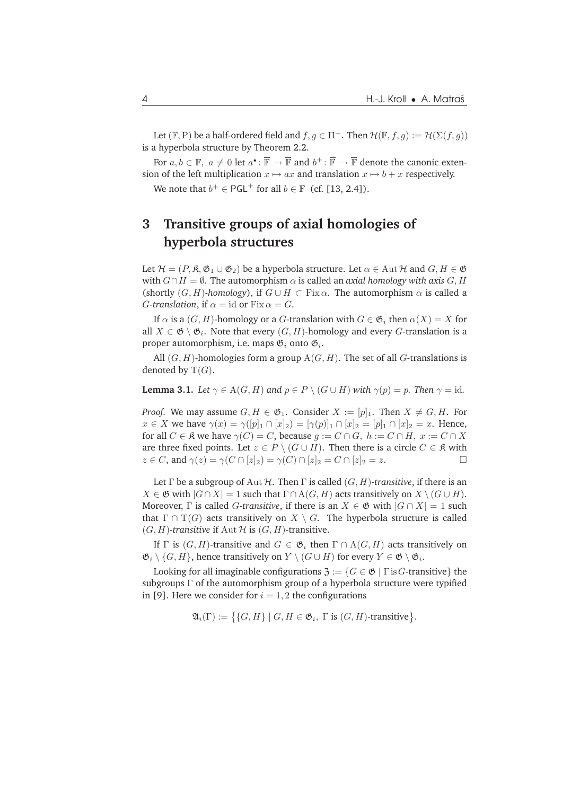Let (F, P) be a half-ordered field and  $f, g \in \Pi^+$ . Then  $\mathcal{H}(\mathbb{F}, f, g) := \mathcal{H}(\Sigma(f, g))$ is a hyperbola structure by Theorem 2.2.

For  $a, b \in \mathbb{F}$ ,  $a \neq 0$  let  $a^{\bullet} \colon \overline{\mathbb{F}} \to \overline{\mathbb{F}}$  and  $b^+ \colon \overline{\mathbb{F}} \to \overline{\mathbb{F}}$  denote the canonic extension of the left multiplication  $x \mapsto ax$  and translation  $x \mapsto b + x$  respectively. We note that  $b^+ \in {\sf PGL}^+$  for all  $b \in \mathbb{F}$  (cf. [13, 2.4]).

## **3 Transitive groups of axial homologies of hyperbola structures**

Let  $\mathcal{H} = (P, \mathfrak{K}, \mathfrak{G}_1 \cup \mathfrak{G}_2)$  be a hyperbola structure. Let  $\alpha \in \text{Aut }\mathcal{H}$  and  $G, H \in \mathfrak{G}$ with  $G \cap H = \emptyset$ . The automorphism  $\alpha$  is called an *axial homology with axis* G, H (shortly  $(G, H)$ -*homology*), if  $G \cup H \subset Fix \alpha$ . The automorphism  $\alpha$  is called a *G*-*translation*, if  $\alpha = id$  or Fix  $\alpha = G$ .

If  $\alpha$  is a  $(G, H)$ -homology or a G-translation with  $G \in \mathfrak{G}_i$  then  $\alpha(X) = X$  for all  $X \in \mathfrak{G} \setminus \mathfrak{G}_i$ . Note that every  $(G, H)$ -homology and every  $G$ -translation is a proper automorphism, i.e. maps  $\mathfrak{G}_i$  onto  $\mathfrak{G}_i$ .

All  $(G, H)$ -homologies form a group  $A(G, H)$ . The set of all G-translations is denoted by  $T(G)$ .

**Lemma 3.1.** *Let*  $\gamma \in A(G, H)$  *and*  $p \in P \setminus (G \cup H)$  *with*  $\gamma(p) = p$ *. Then*  $\gamma = id$ *.* 

*Proof.* We may assume  $G, H \in \mathfrak{G}_1$ . Consider  $X := [p]_1$ . Then  $X \neq G, H$ . For  $x \in X$  we have  $\gamma(x) = \gamma([p]_1 \cap [x]_2) = [\gamma(p)]_1 \cap [x]_2 = [p]_1 \cap [x]_2 = x$ . Hence, for all  $C \in \mathfrak{K}$  we have  $\gamma(C) = C$ , because  $g := C \cap G$ ,  $h := C \cap H$ ,  $x := C \cap X$ are three fixed points. Let  $z \in P \setminus (G \cup H)$ . Then there is a circle  $C \in \mathfrak{K}$  with  $z \in C$ , and  $\gamma(z) = \gamma(C \cap [z]_2) = \gamma(C) \cap [z]_2 = C \cap [z]_2 = z.$ 

Let  $\Gamma$  be a subgroup of Aut  $\mathcal H$ . Then  $\Gamma$  is called  $(G, H)$ -transitive, if there is an  $X \in \mathfrak{G}$  with  $|G \cap X| = 1$  such that  $\Gamma \cap A(G, H)$  acts transitively on  $X \setminus (G \cup H)$ . Moreover,  $\Gamma$  is called *G*-transitive, if there is an  $X \in \mathfrak{G}$  with  $|G \cap X| = 1$  such that  $\Gamma \cap T(G)$  acts transitively on  $X \setminus G$ . The hyperbola structure is called  $(G, H)$ -transitive if Aut  $H$  is  $(G, H)$ -transitive.

If  $\Gamma$  is  $(G, H)$ -transitive and  $G \in \mathfrak{G}_i$  then  $\Gamma \cap A(G, H)$  acts transitively on  $\mathfrak{G}_i \setminus \{G, H\}$ , hence transitively on  $Y \setminus (G \cup H)$  for every  $Y \in \mathfrak{G} \setminus \mathfrak{G}_i$ .

Looking for all imaginable configurations  $\mathfrak{Z} := \{ G \in \mathfrak{G} \mid \Gamma \text{ is } G\text{-transitive} \}$  the subgroups Γ of the automorphism group of a hyperbola structure were typified in [9]. Here we consider for  $i = 1, 2$  the configurations

$$
\mathfrak{A}_i(\Gamma) := \{ \{ G, H \} \mid G, H \in \mathfrak{G}_i, \Gamma \text{ is } (G, H) \text{-transitive} \}.
$$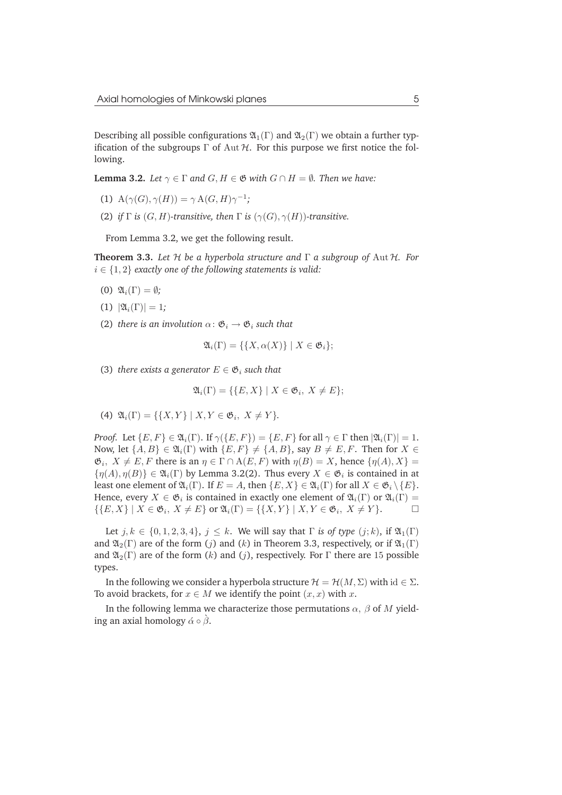Describing all possible configurations  $\mathfrak{A}_1(\Gamma)$  and  $\mathfrak{A}_2(\Gamma)$  we obtain a further typification of the subgroups  $\Gamma$  of Aut  $\mathcal{H}$ . For this purpose we first notice the following.

**Lemma 3.2.** *Let*  $\gamma \in \Gamma$  *and*  $G, H \in \mathfrak{G}$  *with*  $G \cap H = \emptyset$ *. Then we have:* 

- (1)  $A(\gamma(G), \gamma(H)) = \gamma A(G, H) \gamma^{-1};$
- (2) *if*  $\Gamma$  *is*  $(G, H)$ *-transitive, then*  $\Gamma$  *is*  $(\gamma(G), \gamma(H))$ *-transitive.*

From Lemma 3.2, we get the following result.

**Theorem 3.3.** *Let* H *be a hyperbola structure and* Γ *a subgroup of* Aut H*. For* i ∈ {1, 2} *exactly one of the following statements is valid:*

- (0)  $\mathfrak{A}_i(\Gamma) = \emptyset$ ;
- (1)  $|\mathfrak{A}_i(\Gamma)| = 1$ ;
- (2) *there is an involution*  $\alpha: \mathfrak{G}_i \to \mathfrak{G}_i$  *such that*

$$
\mathfrak{A}_i(\Gamma)=\{\{X,\alpha(X)\}\mid X\in\mathfrak{G}_i\};
$$

(3) *there exists a generator*  $E \in \mathfrak{G}_i$  *such that* 

$$
\mathfrak{A}_i(\Gamma) = \{ \{ E, X \} \mid X \in \mathfrak{G}_i, X \neq E \};
$$

(4)  $\mathfrak{A}_i(\Gamma) = \{ \{X, Y\} \mid X, Y \in \mathfrak{G}_i, X \neq Y \}.$ 

*Proof.* Let  $\{E, F\} \in \mathfrak{A}_i(\Gamma)$ . If  $\gamma(\{E, F\}) = \{E, F\}$  for all  $\gamma \in \Gamma$  then  $|\mathfrak{A}_i(\Gamma)| = 1$ . Now, let  $\{A, B\} \in \mathfrak{A}_i(\Gamma)$  with  $\{E, F\} \neq \{A, B\}$ , say  $B \neq E, F$ . Then for  $X \in$  $\mathfrak{G}_i$ ,  $X \neq E$ , F there is an  $\eta \in \Gamma \cap A(E, F)$  with  $\eta(B) = X$ , hence  $\{\eta(A), X\} =$  $\{\eta(A),\eta(B)\}\in\mathfrak{A}_i(\Gamma)$  by Lemma 3.2(2). Thus every  $X\in\mathfrak{G}_i$  is contained in at least one element of  $\mathfrak{A}_i(\Gamma)$ . If  $E = A$ , then  $\{E, X\} \in \mathfrak{A}_i(\Gamma)$  for all  $X \in \mathfrak{G}_i \setminus \{E\}$ . Hence, every  $X \in \mathfrak{G}_i$  is contained in exactly one element of  $\mathfrak{A}_i(\Gamma)$  or  $\mathfrak{A}_i(\Gamma) =$  $\{E, X\} \mid X \in \mathfrak{G}_i, X \neq E\}$  or  $\mathfrak{A}_i(\Gamma) = \{ \{X, Y\} \mid X, Y \in \mathfrak{G}_i, X \neq Y\}.$ 

Let  $j, k \in \{0, 1, 2, 3, 4\}, j \leq k$ . We will say that  $\Gamma$  *is of type*  $(j; k)$ , if  $\mathfrak{A}_1(\Gamma)$ and  $\mathfrak{A}_2(\Gamma)$  are of the form (j) and (k) in Theorem 3.3, respectively, or if  $\mathfrak{A}_1(\Gamma)$ and  $\mathfrak{A}_2(\Gamma)$  are of the form  $(k)$  and  $(j)$ , respectively. For  $\Gamma$  there are 15 possible types.

In the following we consider a hyperbola structure  $\mathcal{H} = \mathcal{H}(M, \Sigma)$  with  $id \in \Sigma$ . To avoid brackets, for  $x \in M$  we identify the point  $(x, x)$  with x.

In the following lemma we characterize those permutations  $\alpha$ ,  $\beta$  of M yielding an axial homology  $\alpha \circ \beta$ .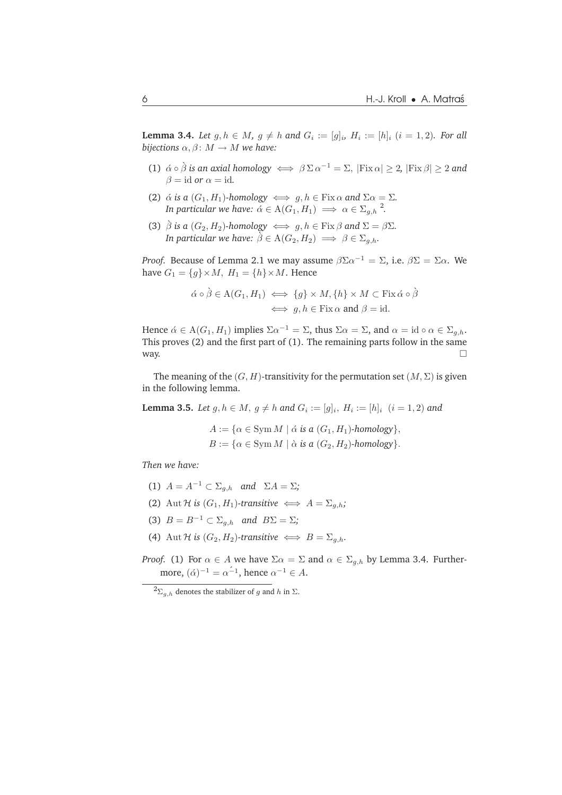**Lemma 3.4.** *Let*  $g, h \in M$ ,  $g \neq h$  and  $G_i := [g]_i$ ,  $H_i := [h]_i$   $(i = 1, 2)$ . For all *bijections*  $\alpha$ ,  $\beta$ :  $M \rightarrow M$  *we have:* 

- (1)  $\alpha \circ \beta$  *is an axial homology*  $\iff \beta \Sigma \alpha^{-1} = \Sigma$ ,  $|\text{Fix } \alpha| \geq 2$ ,  $|\text{Fix } \beta| \geq 2$  *and*  $\beta =$  id *or*  $\alpha =$  id.
- (2)  $\alpha$  *is a* ( $G_1, H_1$ )*-homology*  $\iff g, h \in \text{Fix } \alpha$  *and*  $\Sigma \alpha = \Sigma$ *. In particular we have:*  $\acute{\alpha} \in A(G_1, H_1) \implies \alpha \in \Sigma_{g,h}^2$ .
- (3)  $\hat{\beta}$  *is a* ( $G_2, H_2$ )*-homology*  $\iff g, h \in \text{Fix } \beta$  *and*  $\Sigma = \beta \Sigma$ *. In particular we have:*  $\hat{\beta} \in A(G_2, H_2) \implies \beta \in \Sigma_{g,h}$ .

*Proof.* Because of Lemma 2.1 we may assume  $\beta \Sigma \alpha^{-1} = \Sigma$ , i.e.  $\beta \Sigma = \Sigma \alpha$ . We have  $G_1 = \{g\} \times M$ ,  $H_1 = \{h\} \times M$ . Hence

$$
\begin{aligned}\n\acute{\alpha} \circ \grave{\beta} &\in A(G_1, H_1) \iff \{g\} \times M, \{h\} \times M \subset \text{Fix } \acute{\alpha} \circ \grave{\beta} \\
&\iff g, h \in \text{Fix } \alpha \text{ and } \beta = \text{id}.\n\end{aligned}
$$

Hence  $\alpha \in A(G_1, H_1)$  implies  $\Sigma \alpha^{-1} = \Sigma$ , thus  $\Sigma \alpha = \Sigma$ , and  $\alpha = \text{id} \circ \alpha \in \Sigma_{g,h}$ . This proves (2) and the first part of (1). The remaining parts follow in the same way.  $\Box$ 

The meaning of the  $(G, H)$ -transitivity for the permutation set  $(M, \Sigma)$  is given in the following lemma.

**Lemma 3.5.** *Let*  $g, h \in M$ ,  $g \neq h$  and  $G_i := [g]_i$ ,  $H_i := [h]_i$   $(i = 1, 2)$  and

 $A := \{ \alpha \in \text{Sym } M \mid \alpha \text{ is a } (G_1, H_1) \text{-homology} \},\$  $B := \{ \alpha \in \text{Sym } M \mid \alpha \text{ is a } (G_2, H_2) \text{-homology} \}.$ 

*Then we have:*

- (1)  $A = A^{-1} \subset \Sigma_{a,h}$  and  $\Sigma A = \Sigma$ ;
- (2) Aut H is  $(G_1, H_1)$ -transitive  $\iff A = \sum_{a,b}$ ;
- (3)  $B = B^{-1} \subset \Sigma_{q,h}$  *and*  $B\Sigma = \Sigma$ *;*
- (4) Aut H *is*  $(G_2, H_2)$ -transitive  $\iff B = \sum_{a,h}$ .
- *Proof.* (1) For  $\alpha \in A$  we have  $\Sigma \alpha = \Sigma$  and  $\alpha \in \Sigma_{q,h}$  by Lemma 3.4. Furthermore,  $(\dot{\alpha})^{-1} = \alpha^{-1}$ , hence  $\alpha^{-1} \in A$ .

 $^{2}\Sigma_{g,h}$  denotes the stabilizer of g and h in  $\Sigma$ .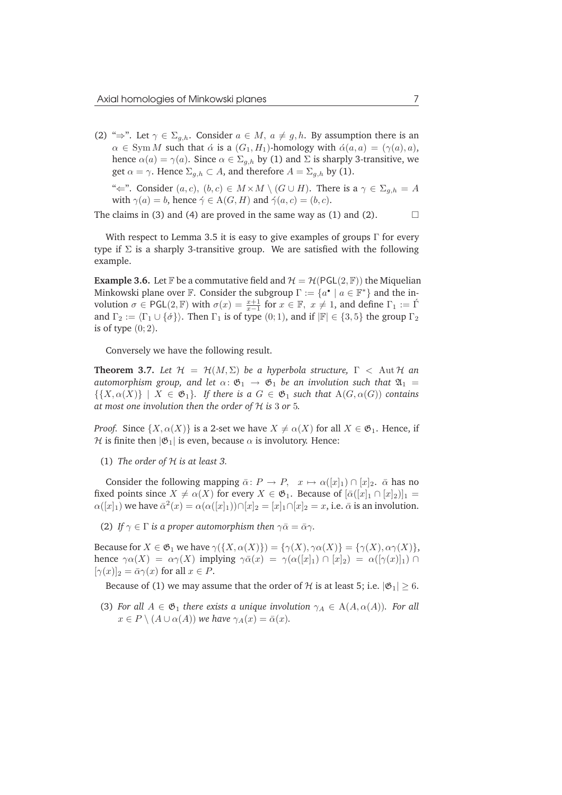(2) " $\Rightarrow$ ". Let  $\gamma \in \Sigma_{q,h}$ . Consider  $a \in M$ ,  $a \neq g,h$ . By assumption there is an  $\alpha \in \text{Sym } M$  such that  $\dot{\alpha}$  is a  $(G_1, H_1)$ -homology with  $\dot{\alpha}(a, a) = (\gamma(a), a)$ , hence  $\alpha(a) = \gamma(a)$ . Since  $\alpha \in \Sigma_{q,h}$  by (1) and  $\Sigma$  is sharply 3-transitive, we get  $\alpha = \gamma$ . Hence  $\Sigma_{g,h} \subset A$ , and therefore  $A = \Sigma_{g,h}$  by (1).

" $\Leftarrow$ ". Consider  $(a, c), (b, c) \in M \times M \setminus (G \cup H)$ . There is a  $\gamma \in \Sigma_{g,h} = A$ with  $\gamma(a) = b$ , hence  $\dot{\gamma} \in A(G, H)$  and  $\dot{\gamma}(a, c) = (b, c)$ .

The claims in (3) and (4) are proved in the same way as (1) and (2).  $\Box$ 

With respect to Lemma 3.5 it is easy to give examples of groups  $\Gamma$  for every type if  $\Sigma$  is a sharply 3-transitive group. We are satisfied with the following example.

**Example 3.6.** Let F be a commutative field and  $\mathcal{H} = \mathcal{H}(\text{PGL}(2,\mathbb{F}))$  the Miquelian Minkowski plane over  $\mathbb F$ . Consider the subgroup  $\Gamma := \{a^{\bullet} \mid a \in \mathbb F^*\}$  and the involution  $\sigma \in \mathsf{PGL}(2,\mathbb{F})$  with  $\sigma(x) = \frac{x+1}{x-1}$  for  $x \in \mathbb{F}$ ,  $x \neq 1$ , and define  $\Gamma_1 := \Gamma$ and  $\Gamma_2 := \langle \Gamma_1 \cup {\{\sigma\}} \rangle$ . Then  $\Gamma_1$  is of type (0;1), and if  $|F| \in \{3, 5\}$  the group  $\Gamma_2$ is of type  $(0, 2)$ .

Conversely we have the following result.

**Theorem 3.7.** Let  $\mathcal{H} = \mathcal{H}(M, \Sigma)$  be a hyperbola structure,  $\Gamma < \text{Aut } \mathcal{H}$  and *automorphism group, and let*  $\alpha$ :  $\mathfrak{G}_1 \rightarrow \mathfrak{G}_1$  *be an involution such that*  $\mathfrak{A}_1 =$  $\{\{X,\alpha(X)\}\mid X \in \mathfrak{G}_1\}$ *. If there is a*  $G \in \mathfrak{G}_1$  *such that*  $A(G,\alpha(G))$  *contains at most one involution then the order of* H *is* 3 *or* 5*.*

*Proof.* Since  $\{X, \alpha(X)\}\$ is a 2-set we have  $X \neq \alpha(X)$  for all  $X \in \mathfrak{G}_1$ . Hence, if H is finite then  $|\mathfrak{G}_1|$  is even, because  $\alpha$  is involutory. Hence:

(1) *The order of* H *is at least 3.*

Consider the following mapping  $\bar{\alpha}: P \to P$ ,  $x \mapsto \alpha([x]_1) \cap [x]_2$ .  $\bar{\alpha}$  has no fixed points since  $X \neq \alpha(X)$  for every  $X \in \mathfrak{G}_1$ . Because of  $[\overline{\alpha}([x]_1 \cap [x]_2)]_1$  =  $\alpha([x]_1)$  we have  $\bar{\alpha}^2(x) = \alpha(\alpha([x]_1)) \cap [x]_2 = [x]_1 \cap [x]_2 = x$ , i.e.  $\bar{\alpha}$  is an involution.

(2) *If*  $\gamma \in \Gamma$  *is a proper automorphism then*  $\gamma \bar{\alpha} = \bar{\alpha} \gamma$ *.* 

Because for  $X \in \mathfrak{G}_1$  we have  $\gamma(\{X, \alpha(X)\}) = \{\gamma(X), \gamma\alpha(X)\} = \{\gamma(X), \alpha\gamma(X)\},\$ hence  $\gamma \alpha(X) = \alpha \gamma(X)$  implying  $\gamma \bar{\alpha}(x) = \gamma(\alpha([x]_1) \cap [x]_2) = \alpha([\gamma(x)]_1) \cap$  $[\gamma(x)]_2 = \bar{\alpha}\gamma(x)$  for all  $x \in P$ .

Because of (1) we may assume that the order of  $H$  is at least 5; i.e.  $|\mathfrak{G}_1| > 6$ .

(3) For all  $A \in \mathfrak{G}_1$  *there exists a unique involution*  $\gamma_A \in A(A, \alpha(A))$ *. For all*  $x \in P \setminus (A \cup \alpha(A))$  we have  $\gamma_A(x) = \bar{\alpha}(x)$ .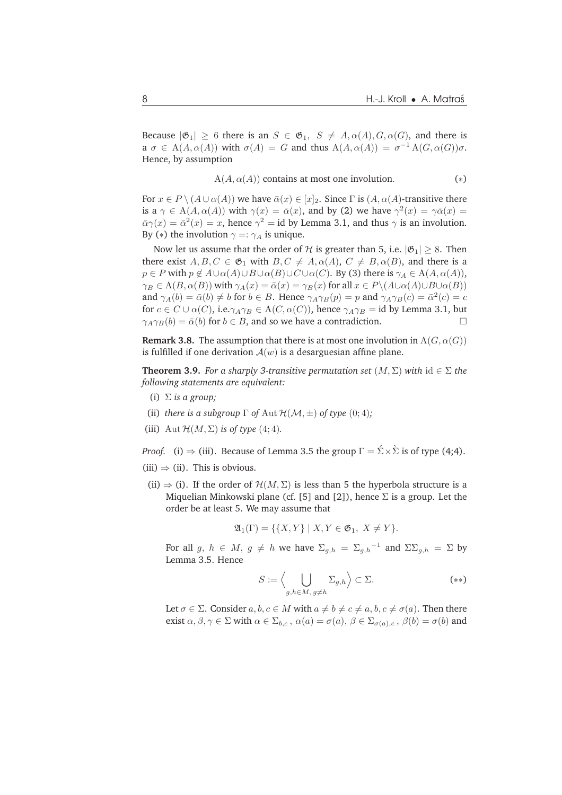Because  $|\mathfrak{G}_1| \geq 6$  there is an  $S \in \mathfrak{G}_1$ ,  $S \neq A$ ,  $\alpha(A)$ ,  $G$ ,  $\alpha(G)$ , and there is a  $\sigma \in A(A, \alpha(A))$  with  $\sigma(A) = G$  and thus  $A(A, \alpha(A)) = \sigma^{-1} A(G, \alpha(G)) \sigma$ . Hence, by assumption

$$
A(A, \alpha(A))
$$
 contains at most one involution. (\*)

For  $x \in P \setminus (A \cup \alpha(A))$  we have  $\overline{\alpha}(x) \in [x]_2$ . Since  $\Gamma$  is  $(A, \alpha(A))$ -transitive there is a  $\gamma \in A(A, \alpha(A))$  with  $\gamma(x) = \bar{\alpha}(x)$ , and by (2) we have  $\gamma^2(x) = \gamma \bar{\alpha}(x) =$  $\bar{\alpha}\gamma(x) = \bar{\alpha}^2(x) = x$ , hence  $\gamma^2 =$  id by Lemma 3.1, and thus  $\gamma$  is an involution. By (\*) the involution  $\gamma =: \gamma_A$  is unique.

Now let us assume that the order of H is greater than 5, i.e.  $|\mathfrak{G}_1| \geq 8$ . Then there exist  $A, B, C \in \mathfrak{G}_1$  with  $B, C \neq A, \alpha(A), C \neq B, \alpha(B)$ , and there is a  $p \in P$  with  $p \notin A \cup \alpha(A) \cup B \cup \alpha(B) \cup C \cup \alpha(C)$ . By (3) there is  $\gamma_A \in A(A, \alpha(A))$ ,  $\gamma_B \in A(B, \alpha(B))$  with  $\gamma_A(x) = \bar{\alpha}(x) = \gamma_B(x)$  for all  $x \in P \setminus (A \cup \alpha(A) \cup B \cup \alpha(B))$ and  $\gamma_A(b) = \bar{\alpha}(b) \neq b$  for  $b \in B$ . Hence  $\gamma_A \gamma_B(p) = p$  and  $\gamma_A \gamma_B(c) = \bar{\alpha}^2(c) = c$ for  $c \in C \cup \alpha(C)$ , i.e. $\gamma_A \gamma_B \in A(C, \alpha(C))$ , hence  $\gamma_A \gamma_B = id$  by Lemma 3.1, but  $\gamma_A \gamma_B(b) = \bar{\alpha}(b)$  for  $b \in B$ , and so we have a contradiction.

**Remark 3.8.** The assumption that there is at most one involution in  $A(G, \alpha(G))$ is fulfilled if one derivation  $A(w)$  is a desarguesian affine plane.

**Theorem 3.9.** *For a sharply 3-transitive permutation set*  $(M, \Sigma)$  *with* id  $\in \Sigma$  *the following statements are equivalent:*

- (i) Σ *is a group;*
- (ii) *there is a subgroup*  $\Gamma$  *of* Aut  $\mathcal{H}(\mathcal{M}, \pm)$  *of type* (0;4);
- (iii) Aut  $\mathcal{H}(M, \Sigma)$  *is of type* (4; 4).

*Proof.* (i)  $\Rightarrow$  (iii). Because of Lemma 3.5 the group  $\Gamma = \Sigma \times \Sigma$  is of type (4;4).

- (iii)  $\Rightarrow$  (ii). This is obvious.
	- (ii)  $\Rightarrow$  (i). If the order of  $\mathcal{H}(M,\Sigma)$  is less than 5 the hyperbola structure is a Miquelian Minkowski plane (cf. [5] and [2]), hence  $\Sigma$  is a group. Let the order be at least 5. We may assume that

$$
\mathfrak{A}_1(\Gamma) = \{ \{X, Y\} \mid X, Y \in \mathfrak{G}_1, \ X \neq Y \}.
$$

For all  $g, h \in M$ ,  $g \neq h$  we have  $\Sigma_{g,h} = \Sigma_{g,h}^{-1}$  and  $\Sigma \Sigma_{g,h} = \Sigma$  by Lemma 3.5. Hence

$$
S := \left\langle \bigcup_{g,h \in M, g \neq h} \Sigma_{g,h} \right\rangle \subset \Sigma.
$$
 (\*\*)

Let  $\sigma \in \Sigma$ . Consider  $a, b, c \in M$  with  $a \neq b \neq c \neq a, b, c \neq \sigma(a)$ . Then there exist  $\alpha, \beta, \gamma \in \Sigma$  with  $\alpha \in \Sigma_{b,c}$ ,  $\alpha(a) = \sigma(a)$ ,  $\beta \in \Sigma_{\sigma(a),c}$ ,  $\beta(b) = \sigma(b)$  and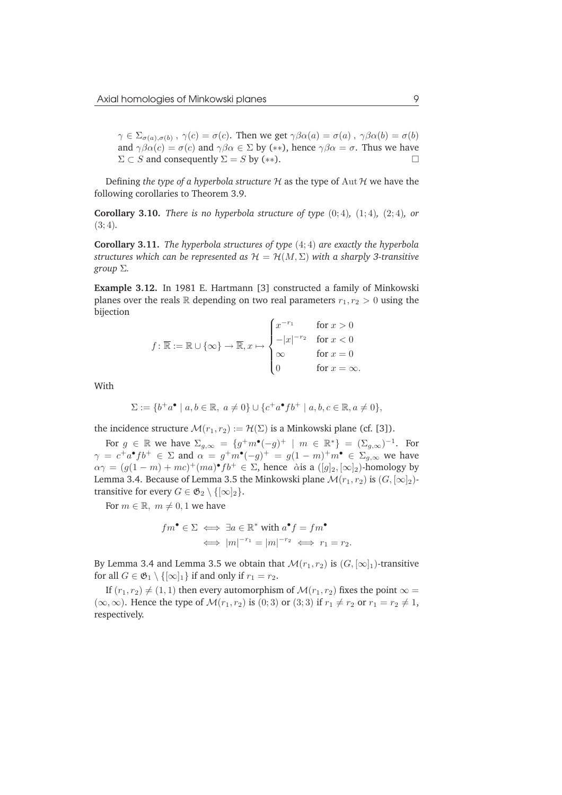$\gamma \in \Sigma_{\sigma(a),\sigma(b)}$  ,  $\gamma(c) = \sigma(c)$ . Then we get  $\gamma\beta\alpha(a) = \sigma(a)$  ,  $\gamma\beta\alpha(b) = \sigma(b)$ and  $\gamma\beta\alpha(c) = \sigma(c)$  and  $\gamma\beta\alpha \in \Sigma$  by (\*\*), hence  $\gamma\beta\alpha = \sigma$ . Thus we have  $\Sigma \subset S$  and consequently  $\Sigma = S$  by (\*\*).

Defining *the type of a hyperbola structure* H as the type of Aut H we have the following corollaries to Theorem 3.9.

**Corollary 3.10.** *There is no hyperbola structure of type*  $(0; 4)$ *,*  $(1; 4)$ *,*  $(2; 4)$ *, or*  $(3;4)$ .

**Corollary 3.11.** *The hyperbola structures of type* (4;4) *are exactly the hyperbola structures which can be represented as*  $\mathcal{H} = \mathcal{H}(M, \Sigma)$  *with a sharply 3-transitive group* Σ*.*

**Example 3.12.** In 1981 E. Hartmann [3] constructed a family of Minkowski planes over the reals R depending on two real parameters  $r_1, r_2 > 0$  using the bijection

$$
f: \overline{\mathbb{R}} := \mathbb{R} \cup \{\infty\} \to \overline{\mathbb{R}}, x \mapsto \begin{cases} x^{-r_1} & \text{for } x > 0 \\ -|x|^{-r_2} & \text{for } x < 0 \\ \infty & \text{for } x = 0 \\ 0 & \text{for } x = \infty. \end{cases}
$$

With

$$
\Sigma := \{ b^+a^{\bullet} \mid a, b \in \mathbb{R}, a \neq 0 \} \cup \{ c^+a^{\bullet}fb^+ \mid a, b, c \in \mathbb{R}, a \neq 0 \},
$$

the incidence structure  $\mathcal{M}(r_1,r_2) := \mathcal{H}(\Sigma)$  is a Minkowski plane (cf. [3]).

For  $g \in \mathbb{R}$  we have  $\Sigma_{g,\infty} = \{g^+m^\bullet(-g)^+ \mid m \in \mathbb{R}^*\} = (\Sigma_{g,\infty})^{-1}$ . For  $\gamma = c^+a^{\bullet}fb^+ \in \Sigma$  and  $\alpha = g^+m^{\bullet}(-g)^+ = g(1-m)^+m^{\bullet} \in \Sigma_{g,\infty}$  we have  $\alpha \gamma = (g(1-m) + mc)^{+}(ma)^{\bullet}fb^{+} \in \Sigma$ , hence àis a  $([g]_2, [\infty]_2)$ -homology by Lemma 3.4. Because of Lemma 3.5 the Minkowski plane  $\mathcal{M}(r_1,r_2)$  is  $(G,[\infty]_2)$ transitive for every  $G \in \mathfrak{G}_2 \setminus \{[\infty]_2\}.$ 

For  $m \in \mathbb{R}$ ,  $m \neq 0, 1$  we have

$$
fm^{\bullet} \in \Sigma \iff \exists a \in \mathbb{R}^* \text{ with } a^{\bullet} f = fm^{\bullet}
$$

$$
\iff |m|^{-r_1} = |m|^{-r_2} \iff r_1 = r_2.
$$

By Lemma 3.4 and Lemma 3.5 we obtain that  $\mathcal{M}(r_1,r_2)$  is  $(G, [\infty]_1)$ -transitive for all  $G \in \mathfrak{G}_1 \setminus \{[\infty]_1\}$  if and only if  $r_1 = r_2$ .

If  $(r_1, r_2) \neq (1, 1)$  then every automorphism of  $\mathcal{M}(r_1, r_2)$  fixes the point  $\infty =$  $(\infty, \infty)$ . Hence the type of  $\mathcal{M}(r_1, r_2)$  is  $(0, 3)$  or  $(3, 3)$  if  $r_1 \neq r_2$  or  $r_1 = r_2 \neq 1$ , respectively.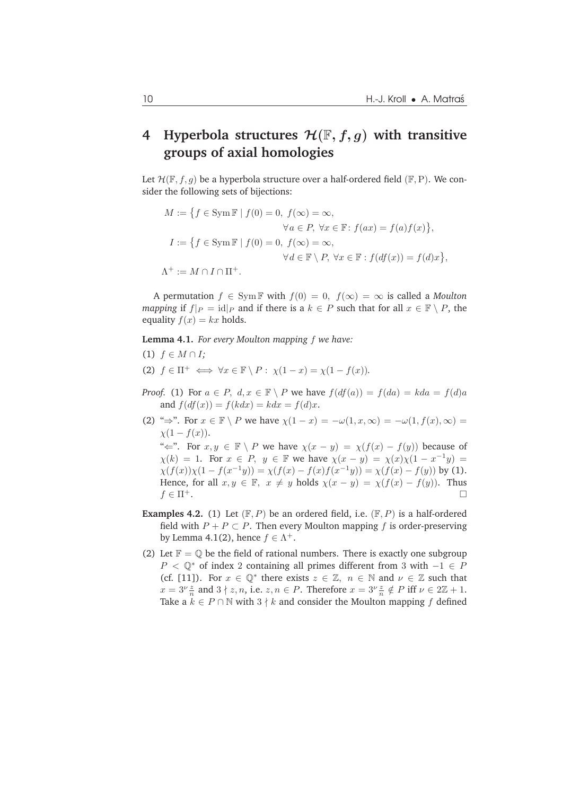## **4** Hyperbola structures  $\mathcal{H}(\mathbb{F}, f, g)$  with transitive **groups of axial homologies**

Let  $\mathcal{H}(\mathbb{F},f,g)$  be a hyperbola structure over a half-ordered field  $(\mathbb{F},P)$ . We consider the following sets of bijections:

$$
M := \{ f \in \text{Sym } \mathbb{F} \mid f(0) = 0, f(\infty) = \infty, \forall a \in P, \forall x \in \mathbb{F}: f(ax) = f(a)f(x) \}, I := \{ f \in \text{Sym } \mathbb{F} \mid f(0) = 0, f(\infty) = \infty, \forall d \in \mathbb{F} \setminus P, \forall x \in \mathbb{F}: f(df(x)) = f(d)x \}, \Lambda^+ := M \cap I \cap \Pi^+.
$$

A permutation  $f \in \text{Sym } \mathbb{F}$  with  $f(0) = 0$ ,  $f(\infty) = \infty$  is called a *Moulton mapping* if  $f|_P = id|_P$  and if there is a  $k \in P$  such that for all  $x \in \mathbb{F} \setminus P$ , the equality  $f(x) = kx$  holds.

**Lemma 4.1.** *For every Moulton mapping* f *we have:*

- (1)  $f$  ∈  $M ∩ I$ ;
- (2)  $f \in \Pi^+ \iff \forall x \in \mathbb{F} \setminus P : \chi(1-x) = \chi(1-f(x)).$
- *Proof.* (1) For  $a \in P$ ,  $d, x \in \mathbb{F} \setminus P$  we have  $f(df(a)) = f(da) = kda = f(d)a$ and  $f(df(x)) = f(kdx) = kdx = f(d)x$ .
- (2) " $\Rightarrow$ ". For  $x \in \mathbb{F} \setminus P$  we have  $\chi(1-x) = -\omega(1,x,\infty) = -\omega(1,f(x),\infty) =$  $\chi(1-f(x)).$ " $\Leftarrow$ ". For  $x, y \in \mathbb{F} \setminus P$  we have  $\chi(x - y) = \chi(f(x) - f(y))$  because of  $\chi(k) = 1$ . For  $x \in P$ ,  $y \in \mathbb{F}$  we have  $\chi(x - y) = \chi(x)\chi(1 - x^{-1}y) =$  $\chi(f(x))\chi(1-f(x^{-1}y)) = \chi(f(x)-f(x)f(x^{-1}y)) = \chi(f(x)-f(y))$  by (1). Hence, for all  $x, y \in \mathbb{F}$ ,  $x \neq y$  holds  $\chi(x - y) = \chi(f(x) - f(y))$ . Thus  $f \in \Pi^+$ .
- **Examples 4.2.** (1) Let  $(F, P)$  be an ordered field, i.e.  $(F, P)$  is a half-ordered field with  $P + P \subset P$ . Then every Moulton mapping f is order-preserving by Lemma 4.1(2), hence  $f \in \Lambda^+$ .
- (2) Let  $\mathbb{F} = \mathbb{Q}$  be the field of rational numbers. There is exactly one subgroup  $P < \mathbb{Q}^*$  of index 2 containing all primes different from 3 with −1 ∈ P (cf. [11]). For  $x \in \mathbb{Q}^*$  there exists  $z \in \mathbb{Z}$ ,  $n \in \mathbb{N}$  and  $\nu \in \mathbb{Z}$  such that  $x = 3^{\nu} \frac{z}{n}$  and  $3 \nmid z, n$ , i.e.  $z, n \in P$ . Therefore  $x = 3^{\nu} \frac{z}{n} \notin P$  iff  $\nu \in 2\mathbb{Z} + 1$ . Take a  $k \in P \cap \mathbb{N}$  with  $3 \nmid k$  and consider the Moulton mapping f defined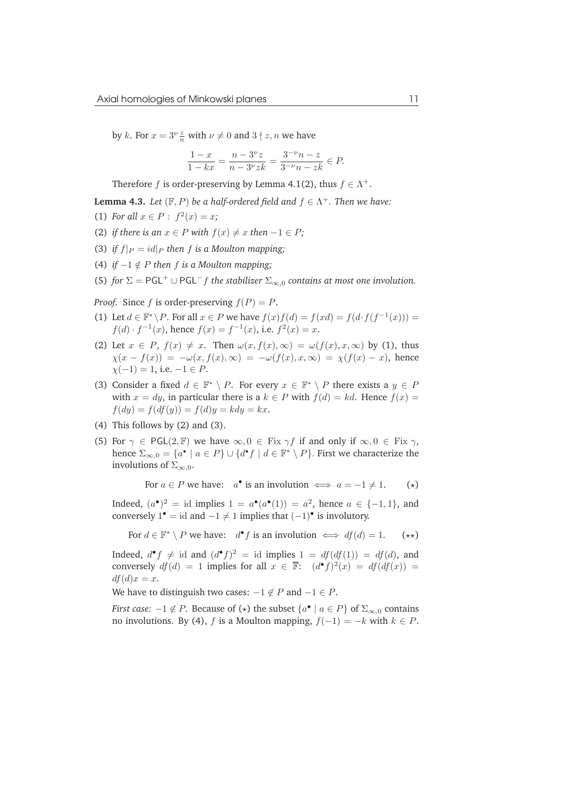by k. For  $x = 3^{\nu} \frac{z}{n}$  with  $\nu \neq 0$  and  $3 \nmid z, n$  we have

$$
\frac{1-x}{1-kx} = \frac{n-3^{\nu}z}{n-3^{\nu}zk} = \frac{3^{-\nu}n-z}{3^{-\nu}n - zk} \in P.
$$

Therefore f is order-preserving by Lemma 4.1(2), thus  $f \in \Lambda^+$ .

**Lemma 4.3.** *Let*  $(F, P)$  *be a half-ordered field and*  $f \in \Lambda^+$ *. Then we have:* 

- (1) *For all*  $x \in P: f^2(x) = x$ ;
- (2) *if there is an*  $x \in P$  *with*  $f(x) \neq x$  *then*  $-1 \in P$ *;*
- (3) *if*  $f|_P = id|_P$  *then*  $f$  *is a Moulton mapping;*
- (4) *if*  $-1 \notin P$  *then f is a Moulton mapping*:

(5) *for*  $\Sigma = PGL^+ \cup PGL^-f$  *the stabilizer*  $\Sigma_{\infty,0}$  *contains at most one involution.* 

*Proof.* Since f is order-preserving  $f(P) = P$ .

- (1) Let  $d \in \mathbb{F}^* \backslash P$ . For all  $x \in P$  we have  $f(x)f(d) = f(xd) = f(d \cdot f(f^{-1}(x))) =$  $f(d) \cdot f^{-1}(x)$ , hence  $f(x) = f^{-1}(x)$ , i.e.  $f^{2}(x) = x$ .
- (2) Let  $x \in P$ ,  $f(x) \neq x$ . Then  $\omega(x, f(x), \infty) = \omega(f(x), x, \infty)$  by (1), thus  $\chi(x - f(x)) = -\omega(x, f(x), \infty) = -\omega(f(x), x, \infty) = \chi(f(x) - x)$ , hence  $\chi(-1) = 1$ , i.e.  $-1 \in P$ .
- (3) Consider a fixed  $d \in \mathbb{F}^* \setminus P$ . For every  $x \in \mathbb{F}^* \setminus P$  there exists a  $y \in P$ with  $x = dy$ , in particular there is a  $k \in P$  with  $f(d) = kd$ . Hence  $f(x) =$  $f(dy) = f(df(y)) = f(d)y = kdy = kx.$
- (4) This follows by (2) and (3).
- (5) For  $\gamma \in \text{PGL}(2, \mathbb{F})$  we have  $\infty, 0 \in \text{Fix } \gamma f$  if and only if  $\infty, 0 \in \text{Fix } \gamma$ , hence  $\Sigma_{\infty,0} = \{a^{\bullet} \mid a \in P\} \cup \{d^{\bullet}f \mid d \in \mathbb{F}^* \setminus P\}$ . First we characterize the involutions of  $\Sigma_{\infty,0}$ .

For  $a \in P$  we have:  $a^{\bullet}$  is an involution  $\iff a = -1 \neq 1.$  (\*)

Indeed,  $(a^{\bullet})^2$  = id implies  $1 = a^{\bullet}(a^{\bullet}(1)) = a^2$ , hence  $a \in \{-1,1\}$ , and conversely  $1^{\bullet}$  = id and  $-1 \neq 1$  implies that  $(-1)^{\bullet}$  is involutory.

For  $d \in \mathbb{F}^* \setminus P$  we have:  $d^{\bullet} f$  is an involution  $\iff df(d) = 1.$  (\*\*)

Indeed,  $d^{\bullet} f \neq id$  and  $(d^{\bullet} f)^2 = id$  implies  $1 = df(df(1)) = df(d)$ , and conversely  $df(d) = 1$  implies for all  $x \in \overline{\mathbb{F}}$ :  $(d^{\bullet} f)^2(x) = df(df(x)) =$  $df(d)x = x.$ 

We have to distinguish two cases:  $-1 \notin P$  and  $-1 \in P$ .

*First case:*  $-1 \notin P$ . Because of  $(\star)$  the subset  $\{a^{\bullet} \mid a \in P\}$  of  $\Sigma_{\infty,0}$  contains no involutions. By (4), f is a Moulton mapping,  $f(-1) = -k$  with  $k \in P$ .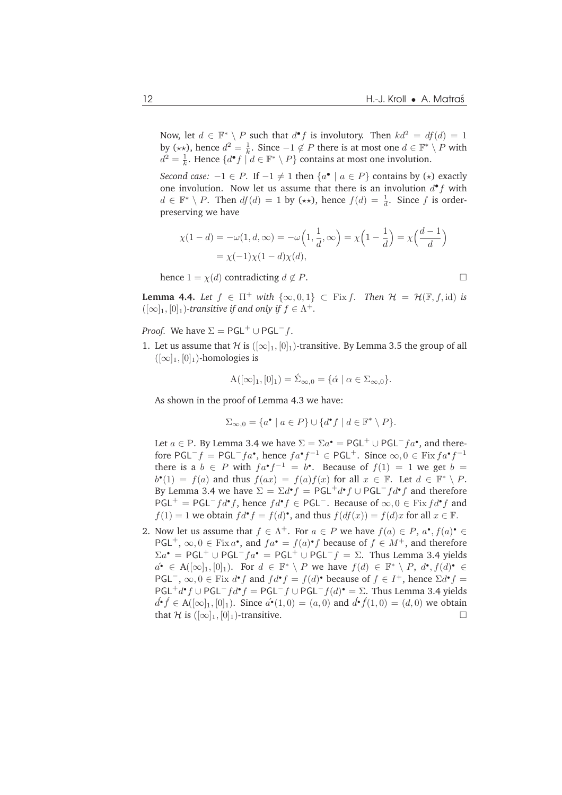Now, let  $d \in \mathbb{F}^* \setminus P$  such that  $d^{\bullet} f$  is involutory. Then  $kd^2 = df(d) = 1$ by  $(\star \star)$ , hence  $d^2 = \frac{1}{k}$ . Since  $-1 \notin P$  there is at most one  $d \in \mathbb{F}^* \setminus P$  with  $d^2 = \frac{1}{k}$ . Hence  $\{d^{\bullet} f \mid d \in \mathbb{F}^* \setminus P\}$  contains at most one involution.

*Second case:*  $-1 \in P$ . If  $-1 \neq 1$  then  $\{a^{\bullet} \mid a \in P\}$  contains by  $(\star)$  exactly one involution. Now let us assume that there is an involution  $d^{\bullet} f$  with  $d \in \mathbb{F}^* \setminus P$ . Then  $df(d) = 1$  by  $(\star \star)$ , hence  $f(d) = \frac{1}{d}$ . Since f is orderpreserving we have

$$
\chi(1-d) = -\omega(1, d, \infty) = -\omega\left(1, \frac{1}{d}, \infty\right) = \chi\left(1 - \frac{1}{d}\right) = \chi\left(\frac{d-1}{d}\right)
$$

$$
= \chi(-1)\chi(1-d)\chi(d),
$$

hence  $1 = \chi(d)$  contradicting  $d \notin P$ .

**Lemma 4.4.** *Let*  $f \in \Pi^+$  *with*  $\{\infty, 0, 1\} \subset$  Fix  $f$ *. Then*  $\mathcal{H} = \mathcal{H}(\mathbb{F}, f, id)$  *is*  $([\infty]_1, [0]_1)$ -transitive if and only if  $f \in \Lambda^+$ .

*Proof.* We have  $\Sigma = PGL^+ \cup PGL^-f$ .

1. Let us assume that H is  $([\infty]_1, [0]_1)$ -transitive. By Lemma 3.5 the group of all  $(|\infty]_1$ ,  $[0]_1$ )-homologies is

$$
A([\infty]_1, [0]_1) = \acute{\Sigma}_{\infty,0} = {\{\acute{\alpha} \mid \alpha \in \Sigma_{\infty,0}\}}.
$$

As shown in the proof of Lemma 4.3 we have:

$$
\Sigma_{\infty,0} = \{a^{\bullet} \mid a \in P\} \cup \{d^{\bullet}f \mid d \in \mathbb{F}^* \setminus P\}.
$$

Let  $a \in P$ . By Lemma 3.4 we have  $\Sigma = \Sigma a^{\bullet} = PGL^+ \cup PGL^-fa^{\bullet}$ , and therefore PGL<sup>-</sup> $f =$  PGL<sup>-</sup> $fa^{\bullet}$ , hence  $fa^{\bullet}f^{-1} \in$  PGL<sup>+</sup>. Since  $\infty, 0 \in$  Fix  $fa^{\bullet}f^{-1}$ there is a  $b \in P$  with  $fa^{\bullet}f^{-1} = b^{\bullet}$ . Because of  $f(1) = 1$  we get  $b =$  $b^{\bullet}(1) = f(a)$  and thus  $f(ax) = f(a)f(x)$  for all  $x \in \mathbb{F}$ . Let  $d \in \mathbb{F}^* \setminus P$ . By Lemma 3.4 we have  $\Sigma = \Sigma d^{\bullet} f = \mathsf{PGL}^+ d^{\bullet} f \cup \mathsf{PGL}^- f d^{\bullet} f$  and therefore  $PGL^{+} = PGL^{-}fd^{\bullet}f$ , hence  $fd^{\bullet}f \in PGL^{-}$ . Because of  $\infty, 0 \in$  Fix  $fd^{\bullet}f$  and  $f(1) = 1$  we obtain  $fd^{\bullet}f = f(d)^{\bullet}$ , and thus  $f(df(x)) = f(d)x$  for all  $x \in \mathbb{F}$ .

2. Now let us assume that  $f \in \Lambda^+$ . For  $a \in P$  we have  $f(a) \in P$ ,  $a^{\bullet}, f(a)^{\bullet} \in \Lambda^+$ PGL<sup>+</sup>,  $\infty, 0 \in \text{Fix } a^{\bullet}$ , and  $fa^{\bullet} = f(a)^{\bullet} f$  because of  $f \in M^{+}$ , and therefore  $\Sigma a^{\bullet} = {\sf PGL}^+ \cup {\sf PGL}^-fa^{\bullet} = {\sf PGL}^+ \cup {\sf PGL}^-f = \Sigma$ . Thus Lemma 3.4 yields  $a^{\bullet} \in A([\infty]_1, [0]_1)$ . For  $d \in \mathbb{F}^* \setminus P$  we have  $f(d) \in \mathbb{F}^* \setminus P$ ,  $d^{\bullet}, f(d)^{\bullet} \in$ PGL<sup>-</sup>,  $\infty, 0 \in$  Fix  $d^{\bullet} f$  and  $fd^{\bullet} f = f(d)^{\bullet}$  because of  $f \in I^{+}$ , hence  $\Sigma d^{\bullet} f =$  $PGL^+d^{\bullet}f \cup PGL^-fd^{\bullet}f = PGL^-f \cup PGL^-f(d)^{\bullet} = \Sigma$ . Thus Lemma 3.4 yields  $d^{\bullet}$   $f$  ∈ A([∞]<sub>1</sub>, [0]<sub>1</sub>). Since  $a^{\bullet}(1,0) = (a,0)$  and  $d^{\bullet}f(1,0) = (d,0)$  we obtain that H is  $([\infty]_1, [0]_1)$ -transitive.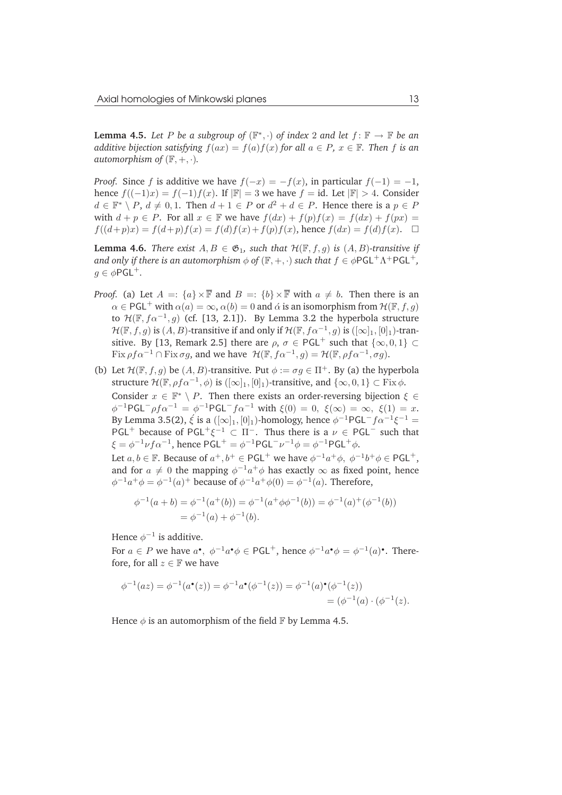**Lemma 4.5.** Let P be a subgroup of  $(\mathbb{F}^*, \cdot)$  of index 2 and let  $f : \mathbb{F} \to \mathbb{F}$  be an *additive bijection satisfying*  $f(ax) = f(a)f(x)$  *for all*  $a \in P$ *,*  $x \in \mathbb{F}$ *. Then f is an automorphism of*  $(\mathbb{F}, +, \cdot)$ *.* 

*Proof.* Since f is additive we have  $f(-x) = -f(x)$ , in particular  $f(-1) = -1$ , hence  $f((-1)x) = f(-1)f(x)$ . If  $|\mathbb{F}| = 3$  we have  $f = id$ . Let  $|\mathbb{F}| > 4$ . Consider  $d \in \mathbb{F}^* \setminus P$ ,  $d \neq 0, 1$ . Then  $d + 1 \in P$  or  $d^2 + d \in P$ . Hence there is a  $p \in P$ with  $d + p \in P$ . For all  $x \in \mathbb{F}$  we have  $f(dx) + f(p)f(x) = f(dx) + f(px) =$  $f((d+p)x) = f(d+p)f(x) = f(d)f(x) + f(p)f(x)$ , hence  $f(dx) = f(d)f(x)$ .  $\Box$ 

**Lemma 4.6.** *There exist*  $A, B \in \mathfrak{G}_1$ *, such that*  $\mathcal{H}(\mathbb{F}, f, g)$  *is*  $(A, B)$ *-transitive if* and only if there is an automorphism  $\phi$  of  $(\mathbb{F}, +, \cdot)$  such that  $f \in \phi \mathsf{PGL}^+ \Lambda^+ \mathsf{PGL}^+,$  $q \in \phi$ PGL<sup>+</sup>.

- *Proof.* (a) Let  $A =: \{a\} \times \overline{\mathbb{F}}$  and  $B =: \{b\} \times \overline{\mathbb{F}}$  with  $a \neq b$ . Then there is an  $\alpha \in {\rm PGL}^+$  with  $\alpha(a) = \infty$ ,  $\alpha(b) = 0$  and  $\alpha$  is an isomorphism from  $\mathcal{H}(\mathbb{F},f,g)$ to  $\mathcal{H}(\mathbb{F},f\alpha^{-1},g)$  (cf. [13, 2.1]). By Lemma 3.2 the hyperbola structure  $\mathcal{H}(\mathbb{F},f,g)$  is  $(A,B)$ -transitive if and only if  $\mathcal{H}(\mathbb{F},f\alpha^{-1},g)$  is  $([\infty]_1,[0]_1)$ -transitive. By [13, Remark 2.5] there are  $\rho$ ,  $\sigma \in \text{PGL}^+$  such that  $\{\infty, 0, 1\} \subset$ Fix  $\rho f \alpha^{-1} \cap \text{Fix } \sigma g$ , and we have  $\mathcal{H}(\mathbb{F}, f \alpha^{-1}, g) = \mathcal{H}(\mathbb{F}, \rho f \alpha^{-1}, \sigma g)$ .
- (b) Let  $\mathcal{H}(\mathbb{F},f,q)$  be  $(A,B)$ -transitive. Put  $\phi := \sigma q \in \Pi^+$ . By (a) the hyperbola structure  $\mathcal{H}(\mathbb{F}, \rho f \alpha^{-1}, \phi)$  is  $([\infty]_1, [0]_1)$ -transitive, and  $\{\infty, 0, 1\} \subset \text{Fix } \phi$ . Consider  $x \in \mathbb{F}^* \setminus P$ . Then there exists an order-reversing bijection  $\xi \in$  $\phi^{-1}PGL^{-}\rho f \alpha^{-1} = \phi^{-1}PGL^{-}f \alpha^{-1}$  with  $\xi(0) = 0$ ,  $\xi(\infty) = \infty$ ,  $\xi(1) = x$ . By Lemma 3.5(2),  $\acute{\xi}$  is a  $([\infty]_1, [0]_1)$ -homology, hence  $\phi^{-1}$ PGL $^-f\alpha^{-1}\xi^{-1} =$ PGL<sup>+</sup> because of PGL<sup>+</sup> $\xi^{-1}$   $\subset \Pi^{-}$ . Thus there is a  $\nu \in PGL^{-}$  such that  $\xi = \phi^{-1} \nu f \alpha^{-1}$ , hence  $PGL^+ = \phi^{-1} PGL^- \nu^{-1} \phi = \phi^{-1} PGL^+ \phi$ .

Let  $a, b \in \mathbb{F}$ . Because of  $a^+, b^+ \in \text{PGL}^+$  we have  $\phi^{-1}a^+\phi$ ,  $\phi^{-1}b^+\phi \in \text{PGL}^+$ , and for  $a \neq 0$  the mapping  $\phi^{-1}a^{+}\phi$  has exactly  $\infty$  as fixed point, hence  $\phi^{-1}a^{+}\phi = \phi^{-1}(a)^{+}$  because of  $\phi^{-1}a^{+}\phi(0) = \phi^{-1}(a)$ . Therefore,

$$
\phi^{-1}(a+b) = \phi^{-1}(a^+(b)) = \phi^{-1}(a^+\phi\phi^{-1}(b)) = \phi^{-1}(a)^+(\phi^{-1}(b))
$$
  
=  $\phi^{-1}(a) + \phi^{-1}(b)$ .

Hence  $\phi^{-1}$  is additive.

For  $a \in P$  we have  $a^{\bullet}$ ,  $\phi^{-1}a^{\bullet}\phi \in \mathsf{PGL}^+$ , hence  $\phi^{-1}a^{\bullet}\phi = \phi^{-1}(a)^{\bullet}$ . Therefore, for all  $z \in \mathbb{F}$  we have

$$
\phi^{-1}(az) = \phi^{-1}(a^{\bullet}(z)) = \phi^{-1}a^{\bullet}(\phi^{-1}(z)) = \phi^{-1}(a)^{\bullet}(\phi^{-1}(z)) = (\phi^{-1}(a) \cdot (\phi^{-1}(z)).
$$

Hence  $\phi$  is an automorphism of the field F by Lemma 4.5.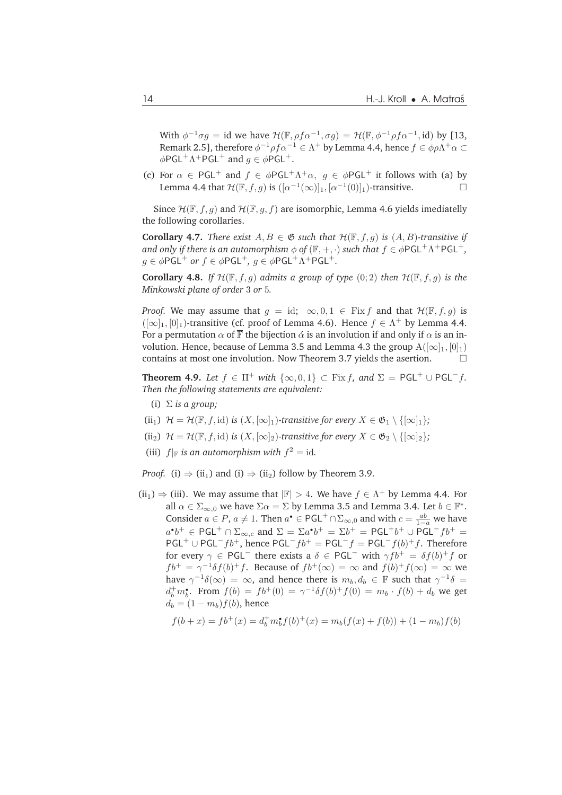With  $\phi^{-1}\sigma g = \text{id}$  we have  $\mathcal{H}(\mathbb{F}, \rho f \alpha^{-1}, \sigma g) = \mathcal{H}(\mathbb{F}, \phi^{-1}\rho f \alpha^{-1}, \text{id})$  by [13, Remark 2.5], therefore  $\phi^{-1}\rho f \alpha^{-1}\in \Lambda^+$  by Lemma 4.4, hence  $f\in \phi\rho\Lambda^+\alpha\subset\Lambda^+$  $\phi$ PGL<sup>+</sup>  $\Lambda$ +PGL<sup>+</sup> and  $g \in \phi$ PGL<sup>+</sup>.

(c) For  $\alpha \in \text{PGL}^+$  and  $f \in \phi \text{PGL}^+ \Lambda^+ \alpha$ ,  $g \in \phi \text{PGL}^+$  it follows with (a) by Lemma 4.4 that  $\mathcal{H}(\mathbb{F},f,g)$  is  $([\alpha^{-1}(\infty)]_1, [\alpha^{-1}(0)]_1)$ -transitive.

Since  $\mathcal{H}(\mathbb{F},f,g)$  and  $\mathcal{H}(\mathbb{F},g,f)$  are isomorphic, Lemma 4.6 yields imediatelly the following corollaries.

**Corollary 4.7.** *There exist*  $A, B \in \mathfrak{G}$  *such that*  $\mathcal{H}(\mathbb{F}, f, g)$  *is*  $(A, B)$ *-transitive if* and only if there is an automorphism  $\phi$  of  $(\mathbb{F}, +, \cdot)$  such that  $f \in \phi \mathsf{PGL}^+ \Lambda^+ \mathsf{PGL}^+,$  $g \in \phi$ PGL<sup>+</sup> or  $f \in \phi$ PGL<sup>+</sup>,  $g \in \phi$ PGL<sup>+</sup> $\Lambda$ <sup>+</sup>PGL<sup>+</sup>.

**Corollary 4.8.** *If*  $\mathcal{H}(\mathbb{F}, f, q)$  *admits a group of type*  $(0, 2)$  *then*  $\mathcal{H}(\mathbb{F}, f, q)$  *is the Minkowski plane of order* 3 *or* 5*.*

*Proof.* We may assume that  $g = id$ ;  $\infty, 0, 1 \in$  Fix f and that  $\mathcal{H}(\mathbb{F}, f, g)$  is  $([\infty]_1, [0]_1)$ -transitive (cf. proof of Lemma 4.6). Hence  $f \in \Lambda^+$  by Lemma 4.4. For a permutation  $\alpha$  of  $\overline{\mathbb{F}}$  the bijection  $\dot{\alpha}$  is an involution if and only if  $\alpha$  is an involution. Hence, because of Lemma 3.5 and Lemma 4.3 the group  $A([\infty]_1, [0]_1)$ contains at most one involution. Now Theorem 3.7 yields the asertion. ¤

**Theorem 4.9.** *Let*  $f \in \Pi^+$  *with*  $\{\infty, 0, 1\} \subset \text{Fix } f$ *, and*  $\Sigma = \text{PGL}^+ \cup \text{PGL}^- f$ *. Then the following statements are equivalent:*

(i) Σ *is a group;*

(ii<sub>1</sub>)  $\mathcal{H} = \mathcal{H}(\mathbb{F}, f, id)$  *is*  $(X, [\infty]_1)$ *-transitive for every*  $X \in \mathfrak{G}_1 \setminus \{[\infty]_1\};$ 

- (ii<sub>2</sub>)  $\mathcal{H} = \mathcal{H}(\mathbb{F}, f, id)$  *is*  $(X, [\infty]_2)$ *-transitive for every*  $X \in \mathfrak{G}_2 \setminus \{[\infty]_2\}$ *;*
- (iii)  $f|_{\mathbb{F}}$  *is an automorphism with*  $f^2 = id$ *.*

*Proof.* (i)  $\Rightarrow$  (ii<sub>1</sub>) and (i)  $\Rightarrow$  (ii<sub>2</sub>) follow by Theorem 3.9.

 $(ii_1) \Rightarrow (iii)$ . We may assume that  $|\mathbb{F}| > 4$ . We have  $f \in \Lambda^+$  by Lemma 4.4. For all  $\alpha \in \Sigma_{\infty,0}$  we have  $\Sigma \alpha = \Sigma$  by Lemma 3.5 and Lemma 3.4. Let  $b \in \mathbb{F}^*$ . Consider  $a \in P$ ,  $a \neq 1$ . Then  $a^{\bullet} \in {\sf PGL}^+ \cap \Sigma_{\infty,0}$  and with  $c = \frac{ab}{1-a}$  we have  $a^{\bullet}b^+ \in \mathsf{PGL}^+ \cap \Sigma_{\infty,c}$  and  $\Sigma = \Sigma a^{\bullet}b^+ = \Sigma b^+ = \mathsf{PGL}^+b^+ \cup \mathsf{PGL}^-fb^+ =$  $PGL^+ \cup PGL^-fb^+$ , hence  $PGL^-fb^+ = PGL^-f = PGL^-f(b)^+f$ . Therefore for every  $\gamma \in \text{PGL}^-$  there exists a  $\delta \in \text{PGL}^-$  with  $\gamma f b^+ = \delta f(b)^+ f$  or  $fb^+ = \gamma^{-1} \delta f(b)^+ f$ . Because of  $fb^+(\infty) = \infty$  and  $f(b)^+ f(\infty) = \infty$  we have  $\gamma^{-1}\delta(\infty) = \infty$ , and hence there is  $m_b, d_b \in \mathbb{F}$  such that  $\gamma^{-1}\delta =$  $d_b^+ m_b^*$ . From  $f(b) = fb^+(0) = \gamma^{-1} \delta f(b)^+ f(0) = m_b \cdot f(b) + d_b$  we get  $d_b = (1 - m_b) f(b)$ , hence

$$
f(b+x) = fb^{+}(x) = d_b^{+}m_b^{\bullet}f(b)^{+}(x) = m_b(f(x) + f(b)) + (1 - m_b)f(b)
$$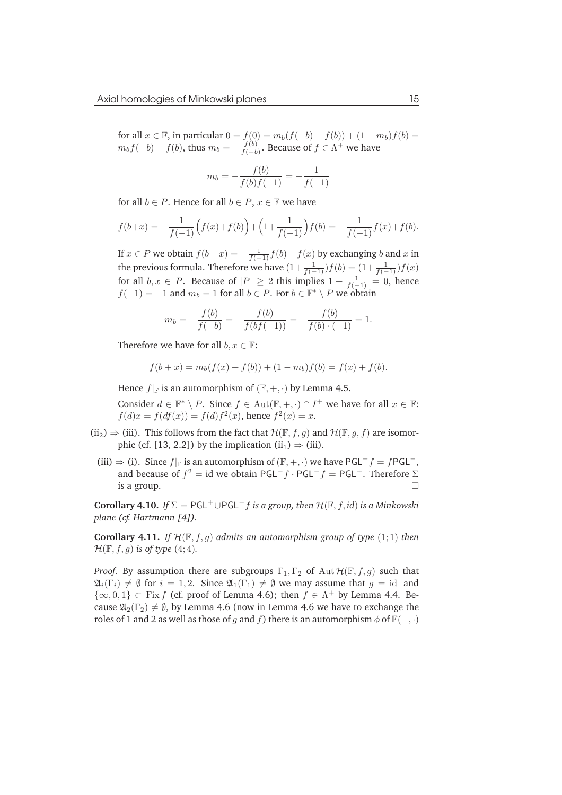for all  $x \in \mathbb{F}$ , in particular  $0 = f(0) = m_b(f(-b) + f(b)) + (1 - m_b)f(b) = 0$  $m_b f(-b) + f(b)$ , thus  $m_b = -\frac{f(b)}{f(-b)}$  $\frac{f(b)}{f(-b)}$ . Because of  $f \in \Lambda^+$  we have

$$
m_b = -\frac{f(b)}{f(b)f(-1)} = -\frac{1}{f(-1)}
$$

for all  $b \in P$ . Hence for all  $b \in P$ ,  $x \in \mathbb{F}$  we have

$$
f(b+x) = -\frac{1}{f(-1)}\Big(f(x) + f(b)\Big) + \Big(1 + \frac{1}{f(-1)}\Big)f(b) = -\frac{1}{f(-1)}f(x) + f(b).
$$

If  $x \in P$  we obtain  $f(b+x) = -\frac{1}{f(-1)}f(b) + f(x)$  by exchanging b and x in the previous formula. Therefore we have  $(1+\frac{1}{f(-1)})f(b) = (1+\frac{1}{f(-1)})f(x)$ for all  $b, x \in P$ . Because of  $|P| \ge 2$  this implies  $1 + \frac{1}{f(-1)} = 0$ , hence  $f(-1) = -1$  and  $m_b = 1$  for all  $b \in P$ . For  $b \in \mathbb{F}^* \setminus P$  we obtain

$$
m_b = -\frac{f(b)}{f(-b)} = -\frac{f(b)}{f(bf(-1))} = -\frac{f(b)}{f(b) \cdot (-1)} = 1.
$$

Therefore we have for all  $b, x \in \mathbb{F}$ :

$$
f(b+x) = m_b(f(x) + f(b)) + (1 - m_b)f(b) = f(x) + f(b).
$$

Hence  $f|_F$  is an automorphism of  $(F, +, \cdot)$  by Lemma 4.5.

Consider  $d \in \mathbb{F}^* \setminus P$ . Since  $f \in Aut(\mathbb{F}, +, \cdot) \cap I^+$  we have for all  $x \in \mathbb{F}$ :  $f(d)x = f(df(x)) = f(d)f^{2}(x)$ , hence  $f^{2}(x) = x$ .

- (ii<sub>2</sub>)  $\Rightarrow$  (iii). This follows from the fact that  $\mathcal{H}(\mathbb{F},f,g)$  and  $\mathcal{H}(\mathbb{F},g,f)$  are isomorphic (cf. [13, 2.2]) by the implication (ii<sub>1</sub>)  $\Rightarrow$  (iii).
	- (iii)  $\Rightarrow$  (i). Since  $f|_{\mathbb{F}}$  is an automorphism of  $(\mathbb{F}, +, \cdot)$  we have PGL<sup>-</sup>f = fPGL<sup>-</sup>, and because of  $f^2 = id$  we obtain  $PGL^-f \cdot PGL^-f = PGL^+$ . Therefore  $\Sigma$ is a group.  $\Box$

**Corollary 4.10.** *If*  $\Sigma = PGL^+ \cup PGL^-f$  *is a group, then*  $\mathcal{H}(\mathbb{F}, f, id)$  *is a Minkowski plane (cf. Hartmann [4]).*

**Corollary 4.11.** *If*  $\mathcal{H}(\mathbb{F},f,g)$  *admits an automorphism group of type*  $(1,1)$  *then*  $\mathcal{H}(\mathbb{F},f,g)$  *is of type* (4; 4).

*Proof.* By assumption there are subgroups  $\Gamma_1, \Gamma_2$  of Aut  $\mathcal{H}(\mathbb{F}, f, g)$  such that  $\mathfrak{A}_i(\Gamma_i) \neq \emptyset$  for  $i = 1, 2$ . Since  $\mathfrak{A}_1(\Gamma_1) \neq \emptyset$  we may assume that  $g = id$  and  $\{\infty, 0, 1\} \subset \text{Fix } f$  (cf. proof of Lemma 4.6); then  $f \in \Lambda^+$  by Lemma 4.4. Because  $\mathfrak{A}_2(\Gamma_2) \neq \emptyset$ , by Lemma 4.6 (now in Lemma 4.6 we have to exchange the roles of 1 and 2 as well as those of g and f) there is an automorphism  $\phi$  of  $\mathbb{F}(+, \cdot)$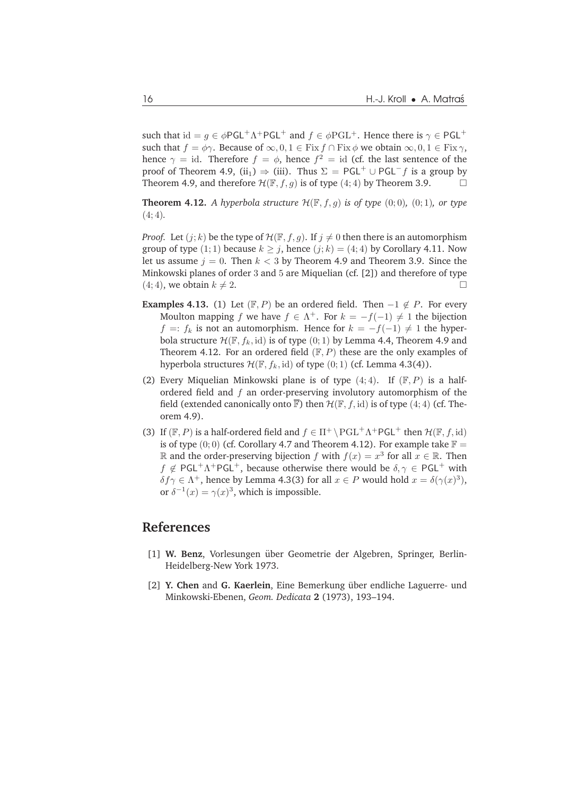such that  $\mathrm{id} = g \in \phi \mathsf{PGL}^+ \Lambda^+ \mathsf{PGL}^+$  and  $f \in \phi \mathrm{PGL}^+$ . Hence there is  $\gamma \in \mathsf{PGL}^+$ such that  $f = \phi \gamma$ . Because of  $\infty, 0, 1 \in$  Fix  $f \cap$  Fix  $\phi$  we obtain  $\infty, 0, 1 \in$  Fix  $\gamma$ , hence  $\gamma = id$ . Therefore  $f = \phi$ , hence  $f^2 = id$  (cf. the last sentence of the proof of Theorem 4.9, (ii<sub>1</sub>)  $\Rightarrow$  (iii). Thus  $\Sigma = PGL^{+} \cup PGL^{-}f$  is a group by Theorem 4.9, and therefore  $\mathcal{H}(\mathbb{F},f,g)$  is of type  $(4;4)$  by Theorem 3.9.

**Theorem 4.12.** *A hyperbola structure*  $\mathcal{H}(\mathbb{F}, f, g)$  *is of type*  $(0, 0)$ *,*  $(0, 1)$ *, or type* (4;4)*.*

*Proof.* Let  $(j; k)$  be the type of  $\mathcal{H}(\mathbb{F}, f, q)$ . If  $j \neq 0$  then there is an automorphism group of type (1; 1) because  $k > j$ , hence (j; k) = (4; 4) by Corollary 4.11. Now let us assume  $j = 0$ . Then  $k < 3$  by Theorem 4.9 and Theorem 3.9. Since the Minkowski planes of order 3 and 5 are Miquelian (cf. [2]) and therefore of type  $(4; 4)$ , we obtain  $k \neq 2$ .

- **Examples 4.13.** (1) Let  $(\mathbb{F}, P)$  be an ordered field. Then  $-1 \notin P$ . For every Moulton mapping f we have  $f \in \Lambda^+$ . For  $k = -f(-1) \neq 1$  the bijection  $f =: f_k$  is not an automorphism. Hence for  $k = -f(-1) ≠ 1$  the hyperbola structure  $\mathcal{H}(\mathbb{F}, f_k, id)$  is of type  $(0, 1)$  by Lemma 4.4, Theorem 4.9 and Theorem 4.12. For an ordered field  $(F, P)$  these are the only examples of hyperbola structures  $\mathcal{H}(\mathbb{F},f_k,\text{id})$  of type  $(0;1)$  (cf. Lemma 4.3(4)).
- (2) Every Miquelian Minkowski plane is of type  $(4, 4)$ . If  $(\mathbb{F}, P)$  is a halfordered field and f an order-preserving involutory automorphism of the field (extended canonically onto  $\overline{F}$ ) then  $\mathcal{H}(\mathbb{F}, f, id)$  is of type (4; 4) (cf. Theorem 4.9).
- (3) If  $(\mathbb{F}, P)$  is a half-ordered field and  $f \in \Pi^+ \backslash \mathrm{PGL}^+ \Lambda^+ \mathrm{PGL}^+$  then  $\mathcal{H}(\mathbb{F}, f, id)$ is of type  $(0, 0)$  (cf. Corollary 4.7 and Theorem 4.12). For example take  $\mathbb{F} =$ ℝ and the order-preserving bijection  $f$  with  $f(x) = x^3$  for all  $x \in \mathbb{R}$ . Then  $f \notin \mathsf{PGL^+}\Lambda^+\mathsf{PGL}^+$ , because otherwise there would be  $\delta, \gamma \in \mathsf{PGL^+}$  with  $\delta f \gamma \in \Lambda^+$ , hence by Lemma 4.3(3) for all  $x \in P$  would hold  $x = \delta(\gamma(x)^3)$ , or  $\delta^{-1}(x) = \gamma(x)^3$ , which is impossible.

#### **References**

- [1] W. Benz, Vorlesungen über Geometrie der Algebren, Springer, Berlin-Heidelberg-New York 1973.
- [2] **Y. Chen** and **G. Kaerlein**, Eine Bemerkung über endliche Laguerre- und Minkowski-Ebenen, *Geom. Dedicata* **2** (1973), 193–194.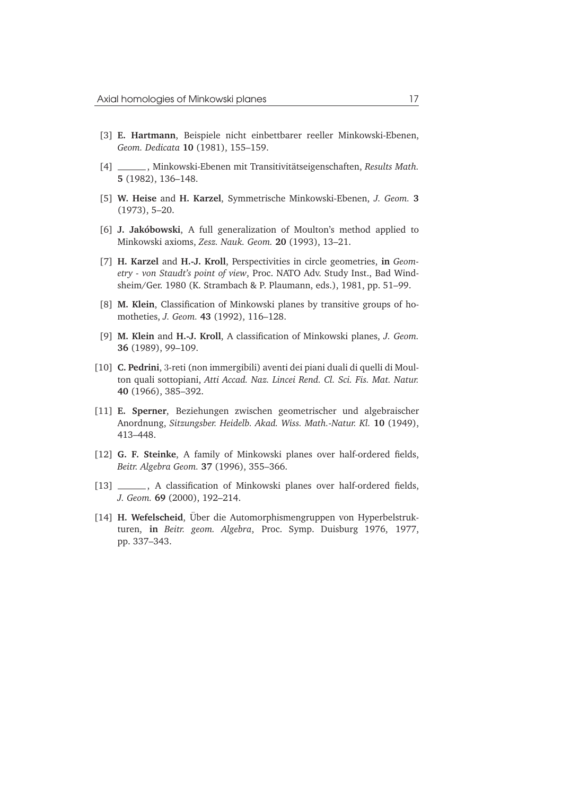- [3] **E. Hartmann**, Beispiele nicht einbettbarer reeller Minkowski-Ebenen, *Geom. Dedicata* **10** (1981), 155–159.
- [4] , Minkowski-Ebenen mit Transitivitätseigenschaften, Results Math. **5** (1982), 136–148.
- [5] **W. Heise** and **H. Karzel**, Symmetrische Minkowski-Ebenen, *J. Geom.* **3** (1973), 5–20.
- [6] **J. Jakóbowski**, A full generalization of Moulton's method applied to Minkowski axioms, *Zesz. Nauk. Geom.* **20** (1993), 13–21.
- [7] **H. Karzel** and **H.-J. Kroll**, Perspectivities in circle geometries, **in** *Geometry - von Staudt's point of view*, Proc. NATO Adv. Study Inst., Bad Windsheim/Ger. 1980 (K. Strambach & P. Plaumann, eds.), 1981, pp. 51–99.
- [8] **M. Klein**, Classification of Minkowski planes by transitive groups of homotheties, *J. Geom.* **43** (1992), 116–128.
- [9] **M. Klein** and **H.-J. Kroll**, A classification of Minkowski planes, *J. Geom.* **36** (1989), 99–109.
- [10] **C. Pedrini**, 3-reti (non immergibili) aventi dei piani duali di quelli di Moulton quali sottopiani, *Atti Accad. Naz. Lincei Rend. Cl. Sci. Fis. Mat. Natur.* **40** (1966), 385–392.
- [11] **E. Sperner**, Beziehungen zwischen geometrischer und algebraischer Anordnung, *Sitzungsber. Heidelb. Akad. Wiss. Math.-Natur. Kl.* **10** (1949), 413–448.
- [12] **G. F. Steinke**, A family of Minkowski planes over half-ordered fields, *Beitr. Algebra Geom.* **37** (1996), 355–366.
- [13] \_\_\_\_\_\_, A classification of Minkowski planes over half-ordered fields, *J. Geom.* **69** (2000), 192–214.
- [14] **H. Wefelscheid**, Über die Automorphismengruppen von Hyperbelstrukturen, **in** *Beitr. geom. Algebra*, Proc. Symp. Duisburg 1976, 1977, pp. 337–343.